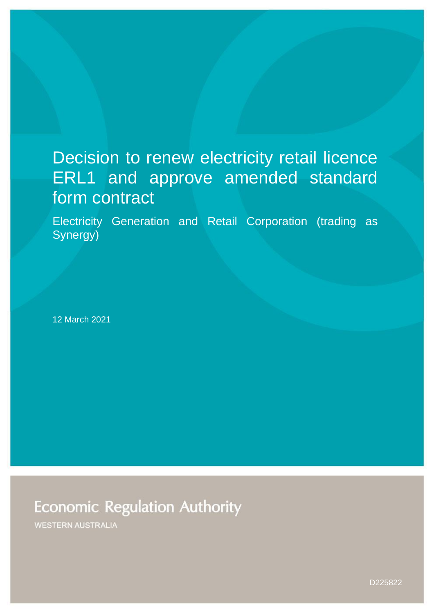# Decision to renew electricity retail licence ERL1 and approve amended standard form contract

Electricity Generation and Retail Corporation (trading as Synergy)

12 March 2021

**Economic Regulation Authority** 

**WESTERN AUSTRALIA** 

D225822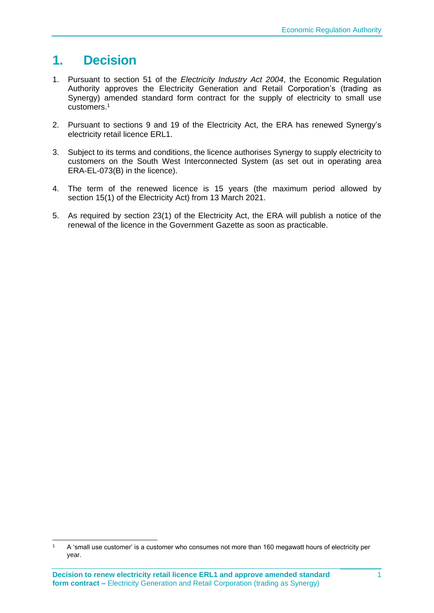# **1. Decision**

- 1. Pursuant to section 51 of the *Electricity Industry Act 2004*, the Economic Regulation Authority approves the Electricity Generation and Retail Corporation's (trading as Synergy) amended standard form contract for the supply of electricity to small use customers.<sup>1</sup>
- 2. Pursuant to sections 9 and 19 of the Electricity Act, the ERA has renewed Synergy's electricity retail licence ERL1.
- 3. Subject to its terms and conditions, the licence authorises Synergy to supply electricity to customers on the South West Interconnected System (as set out in operating area ERA-EL-073(B) in the licence).
- 4. The term of the renewed licence is 15 years (the maximum period allowed by section 15(1) of the Electricity Act) from 13 March 2021.
- 5. As required by section 23(1) of the Electricity Act, the ERA will publish a notice of the renewal of the licence in the Government Gazette as soon as practicable.

<sup>1</sup> A 'small use customer' is a customer who consumes not more than 160 megawatt hours of electricity per year.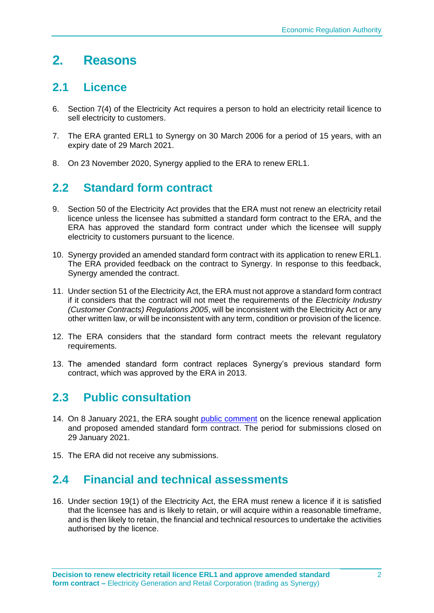# **2. Reasons**

## **2.1 Licence**

- 6. Section 7(4) of the Electricity Act requires a person to hold an electricity retail licence to sell electricity to customers.
- 7. The ERA granted ERL1 to Synergy on 30 March 2006 for a period of 15 years, with an expiry date of 29 March 2021.
- 8. On 23 November 2020, Synergy applied to the ERA to renew ERL1.

# **2.2 Standard form contract**

- 9. Section 50 of the Electricity Act provides that the ERA must not renew an electricity retail licence unless the licensee has submitted a standard form contract to the ERA, and the ERA has approved the standard form contract under which the licensee will supply electricity to customers pursuant to the licence.
- 10. Synergy provided an amended standard form contract with its application to renew ERL1. The ERA provided feedback on the contract to Synergy. In response to this feedback, Synergy amended the contract.
- 11. Under section 51 of the Electricity Act, the ERA must not approve a standard form contract if it considers that the contract will not meet the requirements of the *Electricity Industry (Customer Contracts) Regulations 2005*, will be inconsistent with the Electricity Act or any other written law, or will be inconsistent with any term, condition or provision of the licence.
- 12. The ERA considers that the standard form contract meets the relevant regulatory requirements.
- 13. The amended standard form contract replaces Synergy's previous standard form contract, which was approved by the ERA in 2013.

# **2.3 Public consultation**

- 14. On 8 January 2021, the ERA sought [public comment](https://www.erawa.com.au/cproot/21685/2/Notice---Public-consultation---Licence-renewal-application-and-amended-standard-form-contract---ERL001---Synergy.pdf) on the licence renewal application and proposed amended standard form contract. The period for submissions closed on 29 January 2021.
- 15. The ERA did not receive any submissions.

## **2.4 Financial and technical assessments**

16. Under section 19(1) of the Electricity Act, the ERA must renew a licence if it is satisfied that the licensee has and is likely to retain, or will acquire within a reasonable timeframe, and is then likely to retain, the financial and technical resources to undertake the activities authorised by the licence.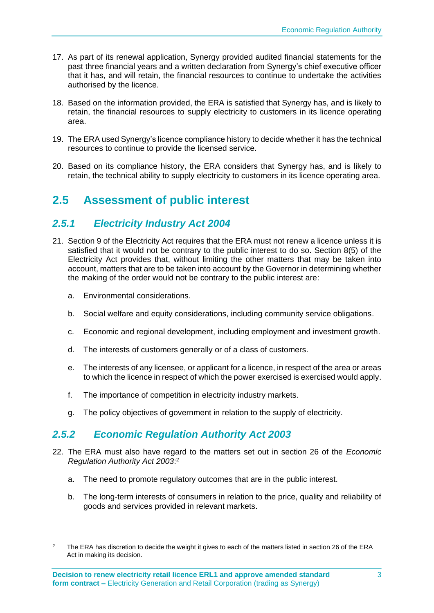- 17. As part of its renewal application, Synergy provided audited financial statements for the past three financial years and a written declaration from Synergy's chief executive officer that it has, and will retain, the financial resources to continue to undertake the activities authorised by the licence.
- 18. Based on the information provided, the ERA is satisfied that Synergy has, and is likely to retain, the financial resources to supply electricity to customers in its licence operating area.
- 19. The ERA used Synergy's licence compliance history to decide whether it has the technical resources to continue to provide the licensed service.
- 20. Based on its compliance history, the ERA considers that Synergy has, and is likely to retain, the technical ability to supply electricity to customers in its licence operating area.

# **2.5 Assessment of public interest**

### *2.5.1 Electricity Industry Act 2004*

- 21. Section 9 of the Electricity Act requires that the ERA must not renew a licence unless it is satisfied that it would not be contrary to the public interest to do so. Section 8(5) of the Electricity Act provides that, without limiting the other matters that may be taken into account, matters that are to be taken into account by the Governor in determining whether the making of the order would not be contrary to the public interest are:
	- a. Environmental considerations.
	- b. Social welfare and equity considerations, including community service obligations.
	- c. Economic and regional development, including employment and investment growth.
	- d. The interests of customers generally or of a class of customers.
	- e. The interests of any licensee, or applicant for a licence, in respect of the area or areas to which the licence in respect of which the power exercised is exercised would apply.
	- f. The importance of competition in electricity industry markets.
	- g. The policy objectives of government in relation to the supply of electricity.

#### *2.5.2 Economic Regulation Authority Act 2003*

- 22. The ERA must also have regard to the matters set out in section 26 of the *Economic Regulation Authority Act 2003*: 2
	- a. The need to promote regulatory outcomes that are in the public interest.
	- b. The long-term interests of consumers in relation to the price, quality and reliability of goods and services provided in relevant markets.

The ERA has discretion to decide the weight it gives to each of the matters listed in section 26 of the ERA Act in making its decision.